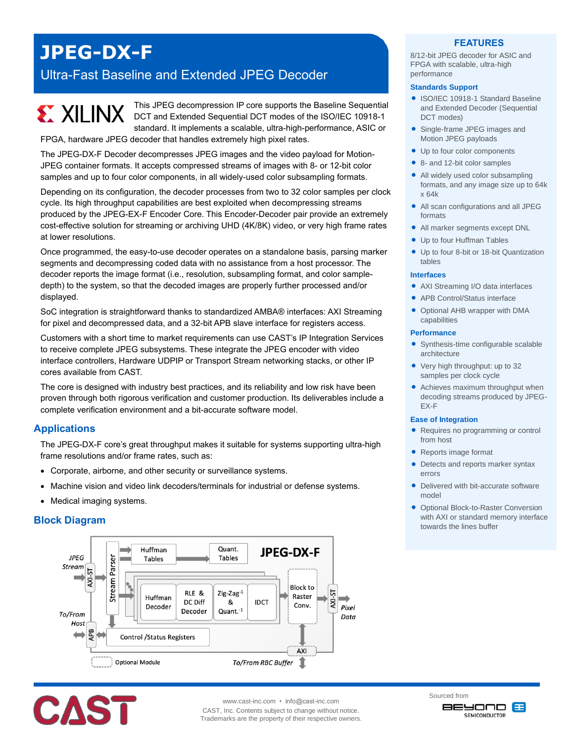# **JPEG-DX-F**

## Ultra-Fast Baseline and Extended JPEG Decoder

This JPEG decompression IP core supports the Baseline Sequential **EXILINX** DCT and Extended Sequential DCT modes of the ISO/IEC 10918-1 standard. It implements a scalable, ultra-high-performance, ASIC or FPGA, hardware JPEG decoder that handles extremely high pixel rates.

The JPEG-DX-F Decoder decompresses JPEG images and the video payload for Motion-JPEG container formats. It accepts compressed streams of images with 8- or 12-bit color samples and up to four color components, in all widely-used color subsampling formats.

Depending on its configuration, the decoder processes from two to 32 color samples per clock cycle. Its high throughput capabilities are best exploited when decompressing streams produced by the JPEG-EX-F Encoder Core. This Encoder-Decoder pair provide an extremely cost-effective solution for streaming or archiving UHD (4K/8K) video, or very high frame rates at lower resolutions.

Once programmed, the easy-to-use decoder operates on a standalone basis, parsing marker segments and decompressing coded data with no assistance from a host processor. The decoder reports the image format (i.e., resolution, subsampling format, and color sampledepth) to the system, so that the decoded images are properly further processed and/or displayed.

SoC integration is straightforward thanks to standardized AMBA® interfaces: AXI Streaming for pixel and decompressed data, and a 32-bit APB slave interface for registers access.

Customers with a short time to market requirements can use CAST's IP Integration Services to receive complete JPEG subsystems. These integrate the JPEG encoder with video interface controllers, Hardware UDPIP or Transport Stream networking stacks, or other IP cores available from CAST.

The core is designed with industry best practices, and its reliability and low risk have been proven through both rigorous verification and customer production. Its deliverables include a complete verification environment and a bit-accurate software model.

## **Applications**

The JPEG-DX-F core's great throughput makes it suitable for systems supporting ultra-high frame resolutions and/or frame rates, such as:

- Corporate, airborne, and other security or surveillance systems.
- Machine vision and video link decoders/terminals for industrial or defense systems.
- Medical imaging systems.

## **Block Diagram**





www.cast-inc.com • info@cast-inc.com

CAST, Inc. Contents subject to change without notice. Trademarks are the property of their respective owners.

## **FEATURES**

8/12-bit JPEG decoder for ASIC and FPGA with scalable, ultra-high performance

#### **Standards Support**

- ISO/IEC 10918-1 Standard Baseline and Extended Decoder (Sequential DCT modes)
- Single-frame JPEG images and Motion JPEG payloads
- Up to four color components
- 8- and 12-bit color samples
- All widely used color subsampling formats, and any image size up to 64k x 64k
- All scan configurations and all JPEG formats
- All marker segments except DNL
- Up to four Huffman Tables
- Up to four 8-bit or 18-bit Quantization tables

#### **Interfaces**

- AXI Streaming I/O data interfaces
- APB Control/Status interface
- Optional AHB wrapper with DMA capabilities

#### **Performance**

- Synthesis-time configurable scalable architecture
- Very high throughput: up to 32 samples per clock cycle
- Achieves maximum throughput when decoding streams produced by JPEG-EX-F

#### **Ease of Integration**

- Requires no programming or control from host
- Reports image format
- Detects and reports marker syntax errors
- Delivered with bit-accurate software model
- **Optional Block-to-Raster Conversion** with AXI or standard memory interface towards the lines buffer